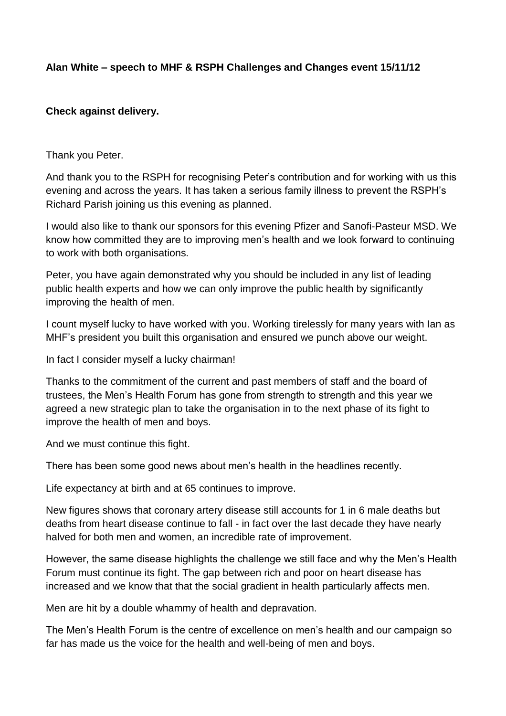## **Alan White – speech to MHF & RSPH Challenges and Changes event 15/11/12**

## **Check against delivery.**

Thank you Peter.

And thank you to the RSPH for recognising Peter's contribution and for working with us this evening and across the years. It has taken a serious family illness to prevent the RSPH's Richard Parish joining us this evening as planned.

I would also like to thank our sponsors for this evening Pfizer and Sanofi-Pasteur MSD. We know how committed they are to improving men's health and we look forward to continuing to work with both organisations.

Peter, you have again demonstrated why you should be included in any list of leading public health experts and how we can only improve the public health by significantly improving the health of men.

I count myself lucky to have worked with you. Working tirelessly for many years with Ian as MHF's president you built this organisation and ensured we punch above our weight.

In fact I consider myself a lucky chairman!

Thanks to the commitment of the current and past members of staff and the board of trustees, the Men's Health Forum has gone from strength to strength and this year we agreed a new strategic plan to take the organisation in to the next phase of its fight to improve the health of men and boys.

And we must continue this fight.

There has been some good news about men's health in the headlines recently.

Life expectancy at birth and at 65 continues to improve.

New figures shows that coronary artery disease still accounts for 1 in 6 male deaths but deaths from heart disease continue to fall - in fact over the last decade they have nearly halved for both men and women, an incredible rate of improvement.

However, the same disease highlights the challenge we still face and why the Men's Health Forum must continue its fight. The gap between rich and poor on heart disease has increased and we know that that the social gradient in health particularly affects men.

Men are hit by a double whammy of health and depravation.

The Men's Health Forum is the centre of excellence on men's health and our campaign so far has made us the voice for the health and well-being of men and boys.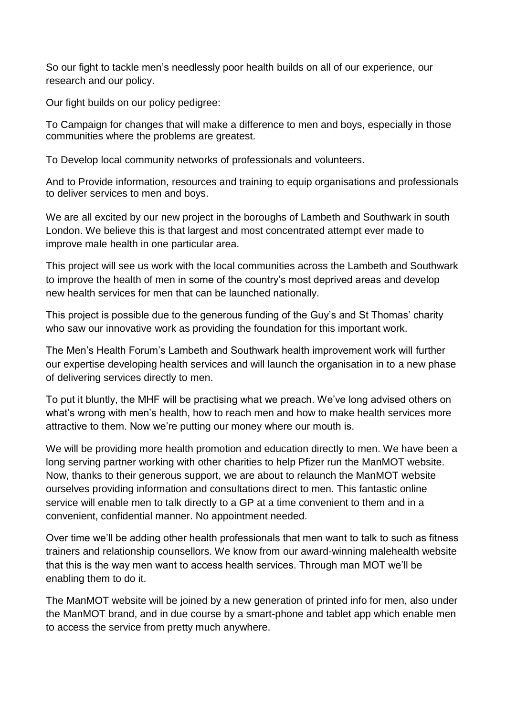So our fight to tackle men's needlessly poor health builds on all of our experience, our research and our policy.

Our fight builds on our policy pedigree:

To Campaign for changes that will make a difference to men and boys, especially in those communities where the problems are greatest.

To Develop local community networks of professionals and volunteers.

And to Provide information, resources and training to equip organisations and professionals to deliver services to men and boys.

We are all excited by our new project in the boroughs of Lambeth and Southwark in south London. We believe this is that largest and most concentrated attempt ever made to improve male health in one particular area.

This project will see us work with the local communities across the Lambeth and Southwark to improve the health of men in some of the country's most deprived areas and develop new health services for men that can be launched nationally.

This project is possible due to the generous funding of the Guy's and St Thomas' charity who saw our innovative work as providing the foundation for this important work.

The Men's Health Forum's Lambeth and Southwark health improvement work will further our expertise developing health services and will launch the organisation in to a new phase of delivering services directly to men.

To put it bluntly, the MHF will be practising what we preach. We've long advised others on what's wrong with men's health, how to reach men and how to make health services more attractive to them. Now we're putting our money where our mouth is.

We will be providing more health promotion and education directly to men. We have been a long serving partner working with other charities to help Pfizer run the ManMOT website. Now, thanks to their generous support, we are about to relaunch the ManMOT website ourselves providing information and consultations direct to men. This fantastic online service will enable men to talk directly to a GP at a time convenient to them and in a convenient, confidential manner. No appointment needed.

Over time we'll be adding other health professionals that men want to talk to such as fitness trainers and relationship counsellors. We know from our award-winning malehealth website that this is the way men want to access health services. Through man MOT we'll be enabling them to do it.

The ManMOT website will be joined by a new generation of printed info for men, also under the ManMOT brand, and in due course by a smart-phone and tablet app which enable men to access the service from pretty much anywhere.